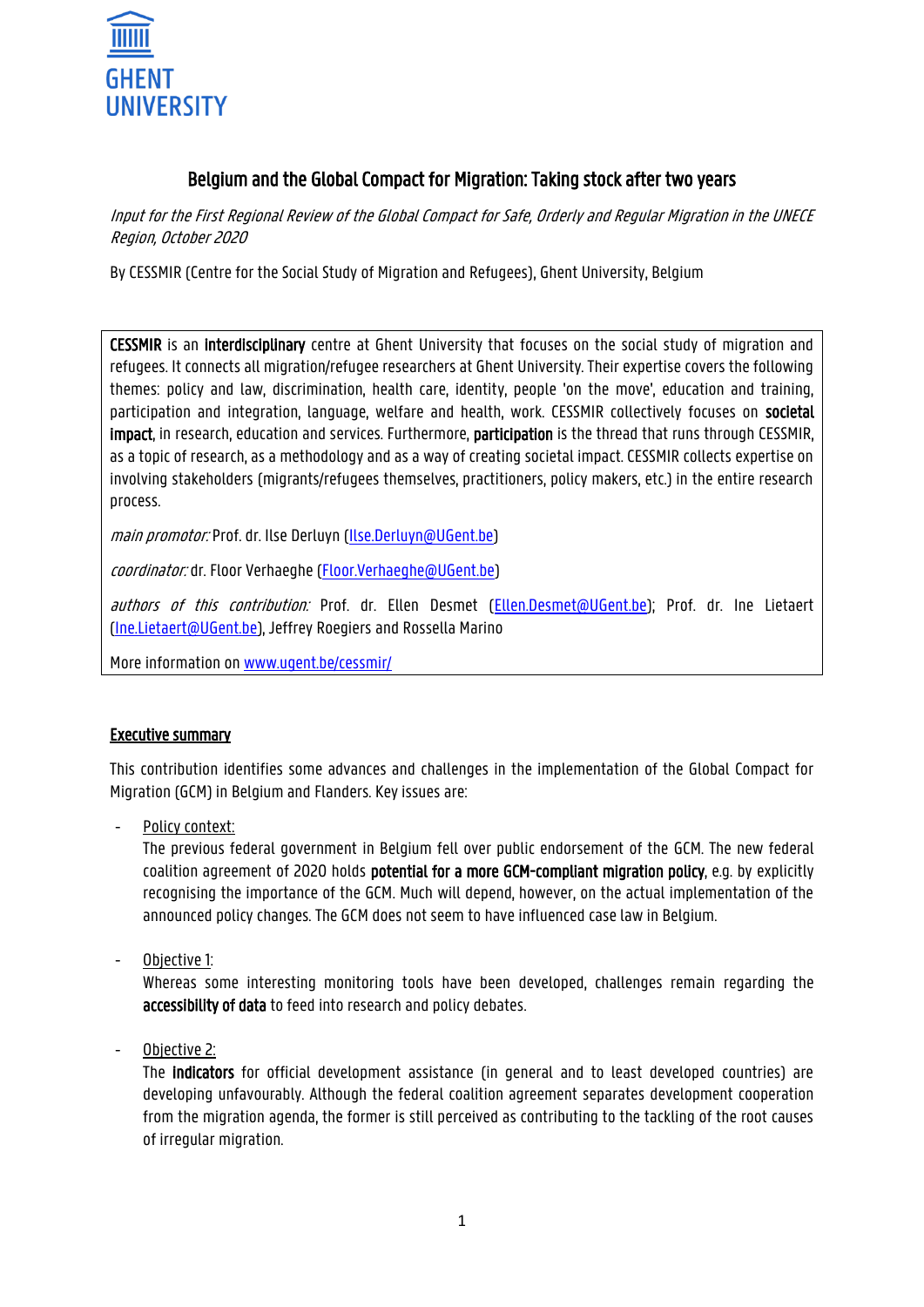

# Belgium and the Global Compact for Migration: Taking stock after two years

Input for the First Regional Review of the Global Compact for Safe, Orderly and Regular Migration in the UNECE Region, October 2020

By CESSMIR (Centre for the Social Study of Migration and Refugees), Ghent University, Belgium

CESSMIR is an interdisciplinary centre at Ghent University that focuses on the social study of migration and refugees. It connects all migration/refugee researchers at Ghent University. Their expertise covers the following themes: policy and law, discrimination, health care, identity, people 'on the move', education and training, participation and integration, language, welfare and health, work. CESSMIR collectively focuses on societal impact, in research, education and services. Furthermore, participation is the thread that runs through CESSMIR, as a topic of research, as a methodology and as a way of creating societal impact. CESSMIR collects expertise on involving stakeholders (migrants/refugees themselves, practitioners, policy makers, etc.) in the entire research process.

main promotor: Prof. dr. Ilse Derluyn [\(Ilse.Derluyn@UGent.be\)](mailto:Ilse.Derluyn@UGent.be)

coordinator: dr. Floor Verhaeghe [\(Floor.Verhaeghe@UGent.be\)](mailto:Floor.Verhaeghe@UGent.be)

authors of this contribution: Prof. dr. Ellen Desmet [\(Ellen.Desmet@UGent.be\)](mailto:Ellen.Desmet@UGent.be); Prof. dr. Ine Lietaert [\(Ine.Lietaert@UGent.be\)](mailto:Ine.Lietaert@UGent.be), Jeffrey Roegiers and Rossella Marino

More information on [www.ugent.be/cessmir/](https://www.ugent.be/cessmir/)

#### Executive summary

This contribution identifies some advances and challenges in the implementation of the Global Compact for Migration (GCM) in Belgium and Flanders. Key issues are:

Policy context:

The previous federal government in Belgium fell over public endorsement of the GCM. The new federal coalition agreement of 2020 holds potential for a more GCM-compliant migration policy, e.g. by explicitly recognising the importance of the GCM. Much will depend, however, on the actual implementation of the announced policy changes. The GCM does not seem to have influenced case law in Belgium.

- Objective 1:

Whereas some interesting monitoring tools have been developed, challenges remain regarding the accessibility of data to feed into research and policy debates.

Objective 2:

The indicators for official development assistance (in general and to least developed countries) are developing unfavourably. Although the federal coalition agreement separates development cooperation from the migration agenda, the former is still perceived as contributing to the tackling of the root causes of irregular migration.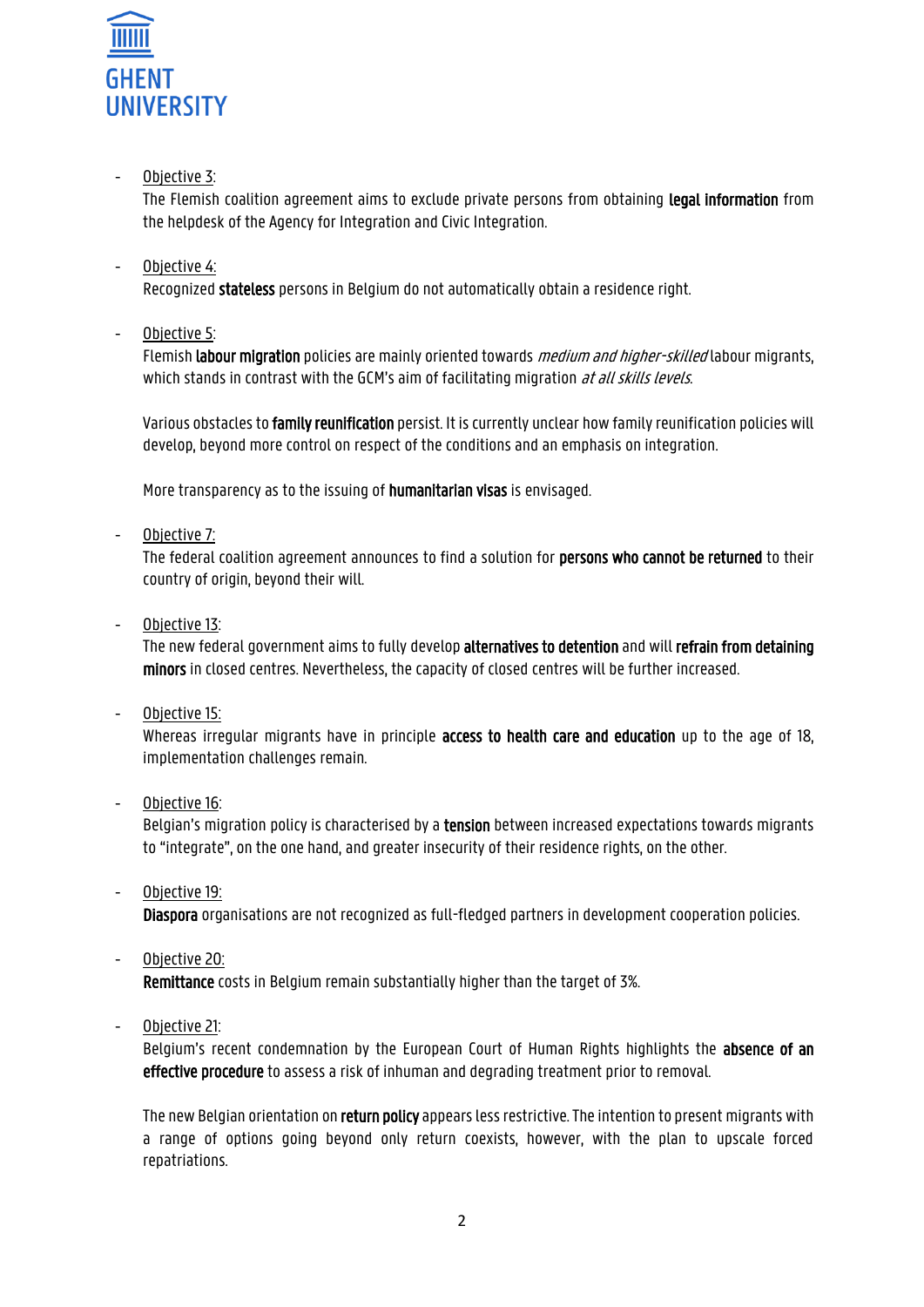

# - Objective 3:

The Flemish coalition agreement aims to exclude private persons from obtaining legal information from the helpdesk of the Agency for Integration and Civic Integration.

# Objective 4:

Recognized stateless persons in Belgium do not automatically obtain a residence right.

- Objective 5:

Flemish labour migration policies are mainly oriented towards *medium and higher-skilled* labour migrants, which stands in contrast with the GCM's aim of facilitating migration at all skills levels.

Various obstacles to family reunification persist. It is currently unclear how family reunification policies will develop, beyond more control on respect of the conditions and an emphasis on integration.

More transparency as to the issuing of humanitarian visas is envisaged.

- Objective 7:

The federal coalition agreement announces to find a solution for persons who cannot be returned to their country of origin, beyond their will.

- Objective 13:

The new federal government aims to fully develop alternatives to detention and will refrain from detaining minors in closed centres. Nevertheless, the capacity of closed centres will be further increased.

Objective 15:

Whereas irregular migrants have in principle **access to health care and education** up to the age of 18, implementation challenges remain.

Objective 16:

Belgian's migration policy is characterised by a **tension** between increased expectations towards migrants to "integrate", on the one hand, and greater insecurity of their residence rights, on the other.

- Objective 19: Diaspora organisations are not recognized as full-fledged partners in development cooperation policies.
- Objective 20:

Remittance costs in Belgium remain substantially higher than the target of 3%.

Objective 21:

Belgium's recent condemnation by the European Court of Human Rights highlights the absence of an effective procedure to assess a risk of inhuman and degrading treatment prior to removal.

The new Belgian orientation on return policy appears less restrictive. The intention to present migrants with a range of options going beyond only return coexists, however, with the plan to upscale forced repatriations.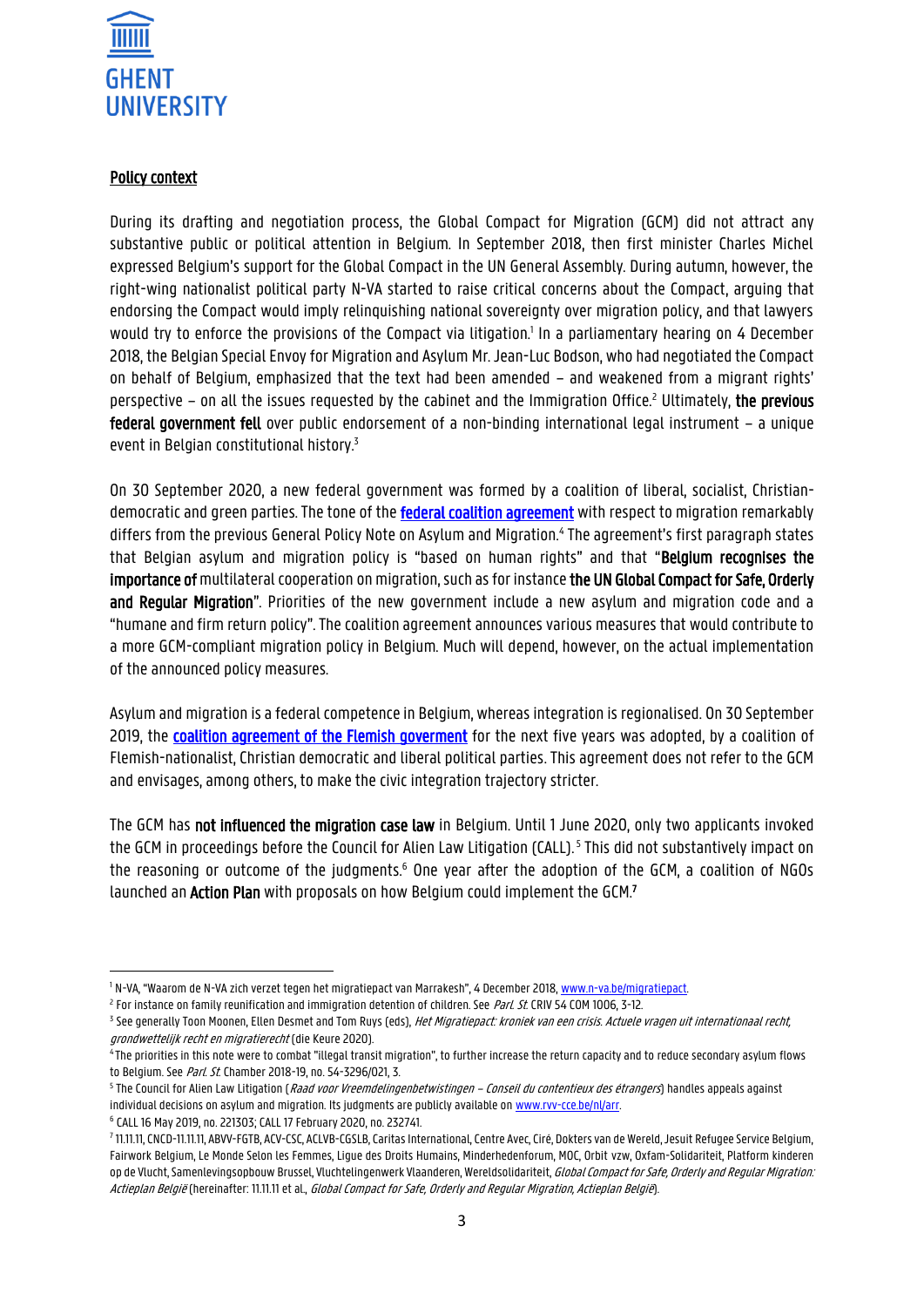

#### Policy context

During its drafting and negotiation process, the Global Compact for Migration (GCM) did not attract any substantive public or political attention in Belgium. In September 2018, then first minister Charles Michel expressed Belgium's support for the Global Compact in the UN General Assembly. During autumn, however, the right-wing nationalist political party N-VA started to raise critical concerns about the Compact, arguing that endorsing the Compact would imply relinquishing national sovereignty over migration policy, and that lawyers would try to enforce the provisions of the Compact via litigation.<sup>1</sup> In a parliamentary hearing on 4 December 2018, the Belgian Special Envoy for Migration and Asylum Mr. Jean-Luc Bodson, who had negotiated the Compact on behalf of Belgium, emphasized that the text had been amended – and weakened from a migrant rights' perspective – on all the issues requested by the cabinet and the Immigration Office.<sup>2</sup> Ultimately, the previous federal government fell over public endorsement of a non-binding international legal instrument – a unique event in Belgian constitutional history.<sup>3</sup>

On 30 September 2020, a new federal government was formed by a coalition of liberal, socialist, Christiandemocratic and green parties. The tone of the **[federal coalition agreement](https://www.vrt.be/content/dam/vrtnieuws/bestanden/2020/VerslagFormateurs_DEF.pdf)** with respect to migration remarkably differs from the previous General Policy Note on Asylum and Migration.<sup>4</sup> The agreement's first paragraph states that Belgian asylum and migration policy is "based on human rights" and that "Belgium recognises the importance of multilateral cooperation on migration, such as for instance the UN Global Compact for Safe, Orderly and Regular Migration". Priorities of the new government include a new asylum and migration code and a "humane and firm return policy". The coalition agreement announces various measures that would contribute to a more GCM-compliant migration policy in Belgium. Much will depend, however, on the actual implementation of the announced policy measures.

Asylum and migration is a federal competence in Belgium, whereas integration is regionalised. On 30 September 2019, the [coalition agreement of the Flemish goverment](https://www.vlaanderen.be/publicaties/regeerakkoord-van-de-vlaamse-regering-2019-2024) for the next five years was adopted, by a coalition of Flemish-nationalist, Christian democratic and liberal political parties. This agreement does not refer to the GCM and envisages, among others, to make the civic integration trajectory stricter.

The GCM has not influenced the migration case law in Belgium. Until 1 June 2020, only two applicants invoked the GCM in proceedings before the Council for Alien Law Litigation (CALL). 5 This did not substantively impact on the reasoning or outcome of the judgments.<sup>6</sup> One year after the adoption of the GCM, a coalition of NGOs launched an **Action Plan** with proposals on how Belgium could implement the GCM.<sup>7</sup>

6 CALL 16 May 2019, no. 221303; CALL 17 February 2020, no. 232741.

1

<sup>&</sup>lt;sup>1</sup> N-VA, "Waarom de N-VA zich verzet tegen het migratiepact van Marrakesh", 4 December 2018, [www.n-va.be/migratiepact.](http://www.n-va.be/migratiepact)

<sup>&</sup>lt;sup>2</sup> For instance on family reunification and immigration detention of children. See *Parl. St.* CRIV 54 COM 1006, 3-12.

<sup>&</sup>lt;sup>3</sup> See generally Toon Moonen, Ellen Desmet and Tom Ruys (eds), *Het Migratiepact: kroniek van een crisis. Actuele vragen uit internationaal recht,* grondwettelijk recht en migratierecht (die Keure 2020).

<sup>4</sup> The priorities in this note were to combat "illegal transit migration", to further increase the return capacity and to reduce secondary asylum flows to Belgium. See Parl. St. Chamber 2018-19, no. 54-3296/021, 3.

<sup>&</sup>lt;sup>s</sup> The Council for Alien Law Litigation (*Raad voor Vreemdelingenbetwistingen – Conseil du contentieux des étrangers*) handles appeals against individual decisions on asylum and migration. Its judgments are publicly available on www.rvv-cce.be/nl/arr.

<sup>7</sup> 11.11.11, CNCD-11.11.11, ABVV-FGTB, ACV-CSC, ACLVB-CGSLB, Caritas International, Centre Avec, Ciré, Dokters van de Wereld, Jesuit Refugee Service Belgium, Fairwork Belgium, Le Monde Selon les Femmes, Ligue des Droits Humains, Minderhedenforum, MOC, Orbit vzw, Oxfam-Solidariteit, Platform kinderen op de Vlucht, Samenlevingsopbouw Brussel, Vluchtelingenwerk Vlaanderen, Wereldsolidariteit, Global Compact for Safe, Orderly and Regular Migration: Actieplan België (hereinafter: 11.11.11 et al., Global Compact for Safe, Orderly and Regular Migration, Actieplan België).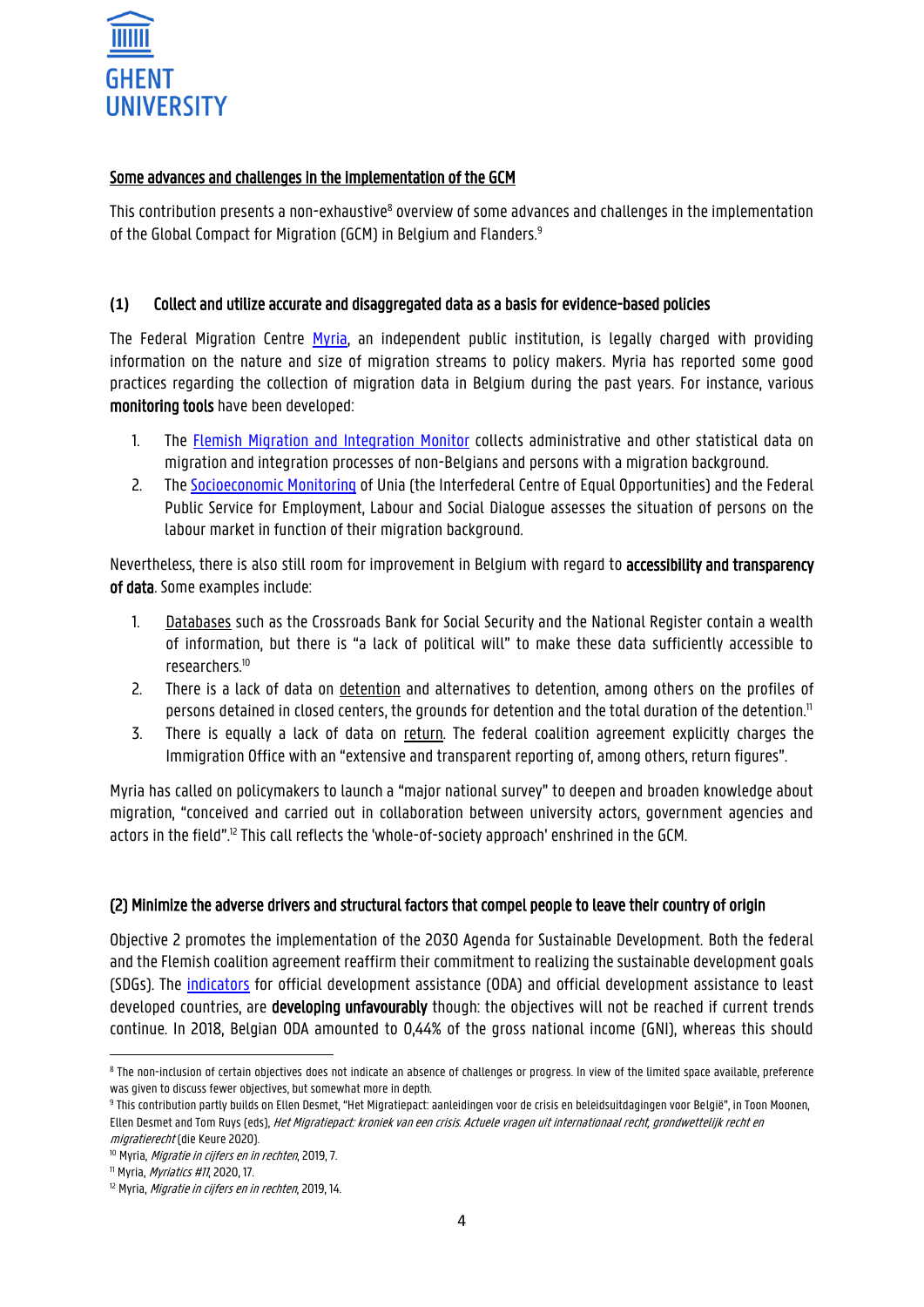

#### Some advances and challenges in the implementation of the GCM

This contribution presents a non-exhaustive<sup>8</sup> overview of some advances and challenges in the implementation of the Global Compact for Migration (GCM) in Belgium and Flanders.<sup>9</sup>

# **(1)** Collect and utilize accurate and disaggregated data as a basis for evidence-based policies

The Federal Migration Centre [Myria,](https://www.myria.be/en) an independent public institution, is legally charged with providing information on the nature and size of migration streams to policy makers. Myria has reported some good practices regarding the collection of migration data in Belgium during the past years. For instance, various monitoring tools have been developed:

- 1. The [Flemish Migration](https://integratiebeleid.vlaanderen.be/vlaamse-migratie-en-integratiemonitor.) and Integration Monitor collects administrative and other statistical data on migration and integration processes of non-Belgians and persons with a migration background.
- 2. The [Socioeconomic Monitoring](https://www.unia.be/en/publications-statistics/statistics/unias-statistical-studies) of Unia (the Interfederal Centre of Equal Opportunities) and the Federal Public Service for Employment, Labour and Social Dialogue assesses the situation of persons on the labour market in function of their migration background.

Nevertheless, there is also still room for improvement in Belgium with regard to accessibility and transparency of data. Some examples include:

- 1. Databases such as the Crossroads Bank for Social Security and the National Register contain a wealth of information, but there is "a lack of political will" to make these data sufficiently accessible to researchers.<sup>10</sup>
- 2. There is a lack of data on detention and alternatives to detention, among others on the profiles of persons detained in closed centers, the grounds for detention and the total duration of the detention.<sup>11</sup>
- 3. There is equally a lack of data on return. The federal coalition agreement explicitly charges the Immigration Office with an "extensive and transparent reporting of, among others, return figures".

Myria has called on policymakers to launch a "major national survey" to deepen and broaden knowledge about migration, "conceived and carried out in collaboration between university actors, government agencies and actors in the field".<sup>12</sup> This call reflects the 'whole-of-society approach' enshrined in the GCM.

#### (2) Minimize the adverse drivers and structural factors that compel people to leave their country of origin

Objective 2 promotes the implementation of the 2030 Agenda for Sustainable Development. Both the federal and the Flemish coalition agreement reaffirm their commitment to realizing the sustainable development goals (SDGs). The [indicators](https://www.indicators.be/en/a/SDG/en) for official development assistance (ODA) and official development assistance to least developed countries, are developing unfavourably though: the objectives will not be reached if current trends continue. In 2018, Belgian ODA amounted to 0,44% of the gross national income (GNI), whereas this should

1

 $^{\rm 8}$  The non-inclusion of certain objectives does not indicate an absence of challenges or progress. In view of the limited space available, preference was given to discuss fewer objectives, but somewhat more in depth.

<sup>&</sup>lt;sup>9</sup> This contribution partly builds on Ellen Desmet, "Het Migratiepact: aanleidingen voor de crisis en beleidsuitdagingen voor België", in Toon Moonen, Ellen Desmet and Tom Ruys (eds), Het Migratiepact: kroniek van een crisis. Actuele vragen uit internationaal recht, grondwettelijk recht en migratierecht (die Keure 2020).

<sup>&</sup>lt;sup>10</sup> Myria, *Migratie in cijfers en in rechten*, 2019, 7.

 $11$  Myria, *Myriatics #11*, 2020, 17.

<sup>&</sup>lt;sup>12</sup> Myria, *Migratie in cijfers en in rechten*, 2019, 14.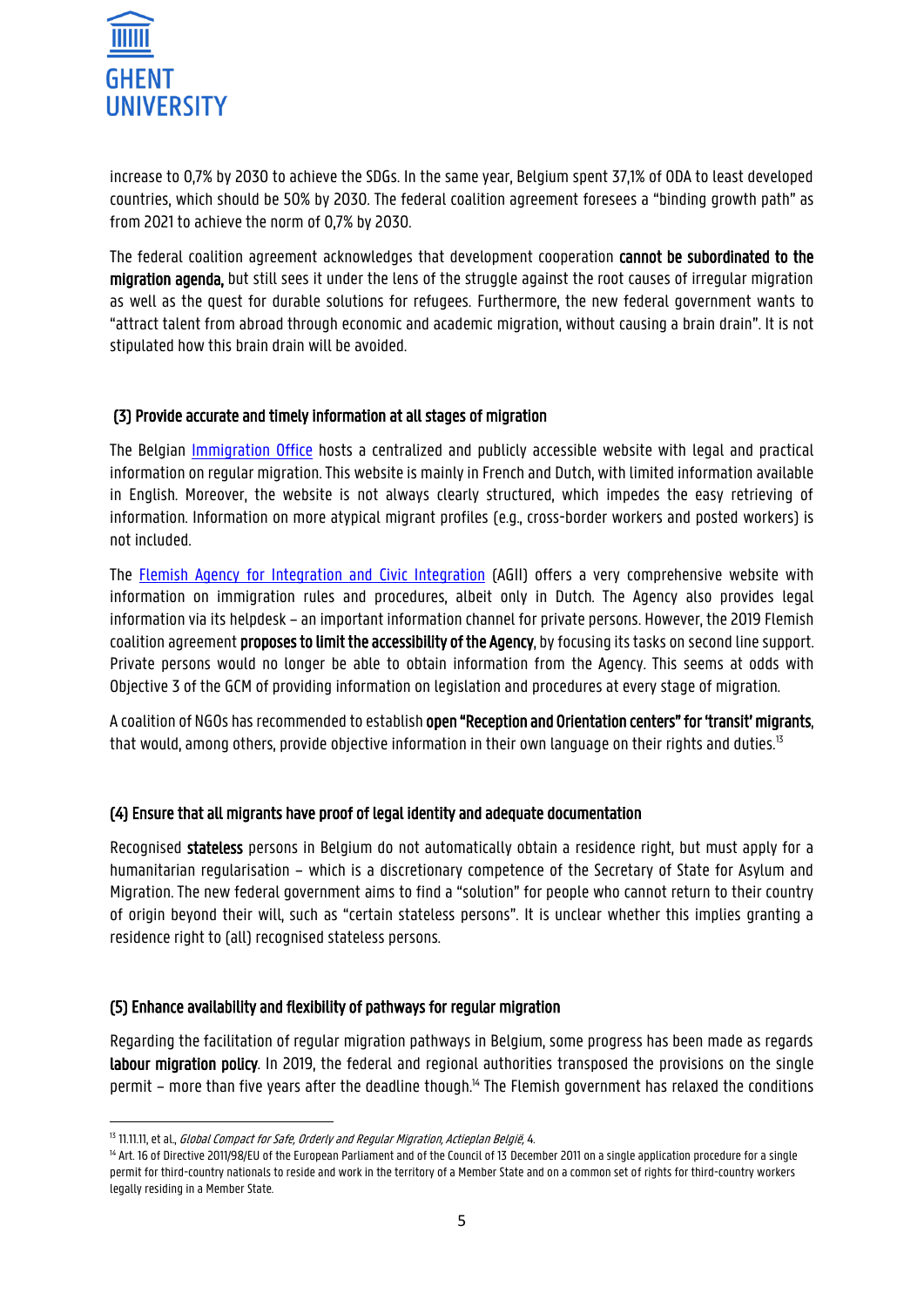

increase to 0,7% by 2030 to achieve the SDGs. In the same year, Belgium spent 37,1% of ODA to least developed countries, which should be 50% by 2030. The federal coalition agreement foresees a "binding growth path" as from 2021 to achieve the norm of 0,7% by 2030.

The federal coalition agreement acknowledges that development cooperation cannot be subordinated to the migration agenda, but still sees it under the lens of the struggle against the root causes of irregular migration as well as the quest for durable solutions for refugees. Furthermore, the new federal government wants to "attract talent from abroad through economic and academic migration, without causing a brain drain". It is not stipulated how this brain drain will be avoided.

## (3) Provide accurate and timely information at all stages of migration

The Belgian [Immigration Office](https://dofi.ibz.be/sites/dvzoe/EN/Pages/home.aspx) hosts a centralized and publicly accessible website with legal and practical information on regular migration. This website is mainly in French and Dutch, with limited information available in English. Moreover, the website is not always clearly structured, which impedes the easy retrieving of information. Information on more atypical migrant profiles (e.g., cross-border workers and posted workers) is not included.

The [Flemish Agency for Integration and Civic Integration](http://www.agii.be/) (AGII) offers a very comprehensive website with information on immigration rules and procedures, albeit only in Dutch. The Agency also provides legal information via its helpdesk – an important information channel for private persons. However, the 2019 Flemish coalition agreement proposes to limit the accessibility of the Agency, by focusing its tasks on second line support. Private persons would no longer be able to obtain information from the Agency. This seems at odds with Objective 3 of the GCM of providing information on legislation and procedures at every stage of migration.

A coalition of NGOs has recommended to establish open "Reception and Orientation centers" for 'transit' migrants, that would, among others, provide objective information in their own language on their rights and duties.<sup>13</sup>

#### (4) Ensure that all migrants have proof of legal identity and adequate documentation

Recognised stateless persons in Belgium do not automatically obtain a residence right, but must apply for a humanitarian regularisation – which is a discretionary competence of the Secretary of State for Asylum and Migration. The new federal government aims to find a "solution" for people who cannot return to their country of origin beyond their will, such as "certain stateless persons". It is unclear whether this implies granting a residence right to (all) recognised stateless persons.

#### (5) Enhance availability and flexibility of pathways for regular migration

Regarding the facilitation of regular migration pathways in Belgium, some progress has been made as regards labour migration policy. In 2019, the federal and regional authorities transposed the provisions on the single permit – more than five years after the deadline though.<sup>14</sup> The Flemish government has relaxed the conditions

**<sup>.</sup>** <sup>13</sup> 11.11.11, et al., *Global Compact for Safe, Orderly and Regular Migration, Actieplan België, 4.* 

<sup>&</sup>lt;sup>14</sup> Art. 16 of Directive 2011/98/EU of the European Parliament and of the Council of 13 December 2011 on a single application procedure for a single permit for third-country nationals to reside and work in the territory of a Member State and on a common set of rights for third-country workers legally residing in a Member State.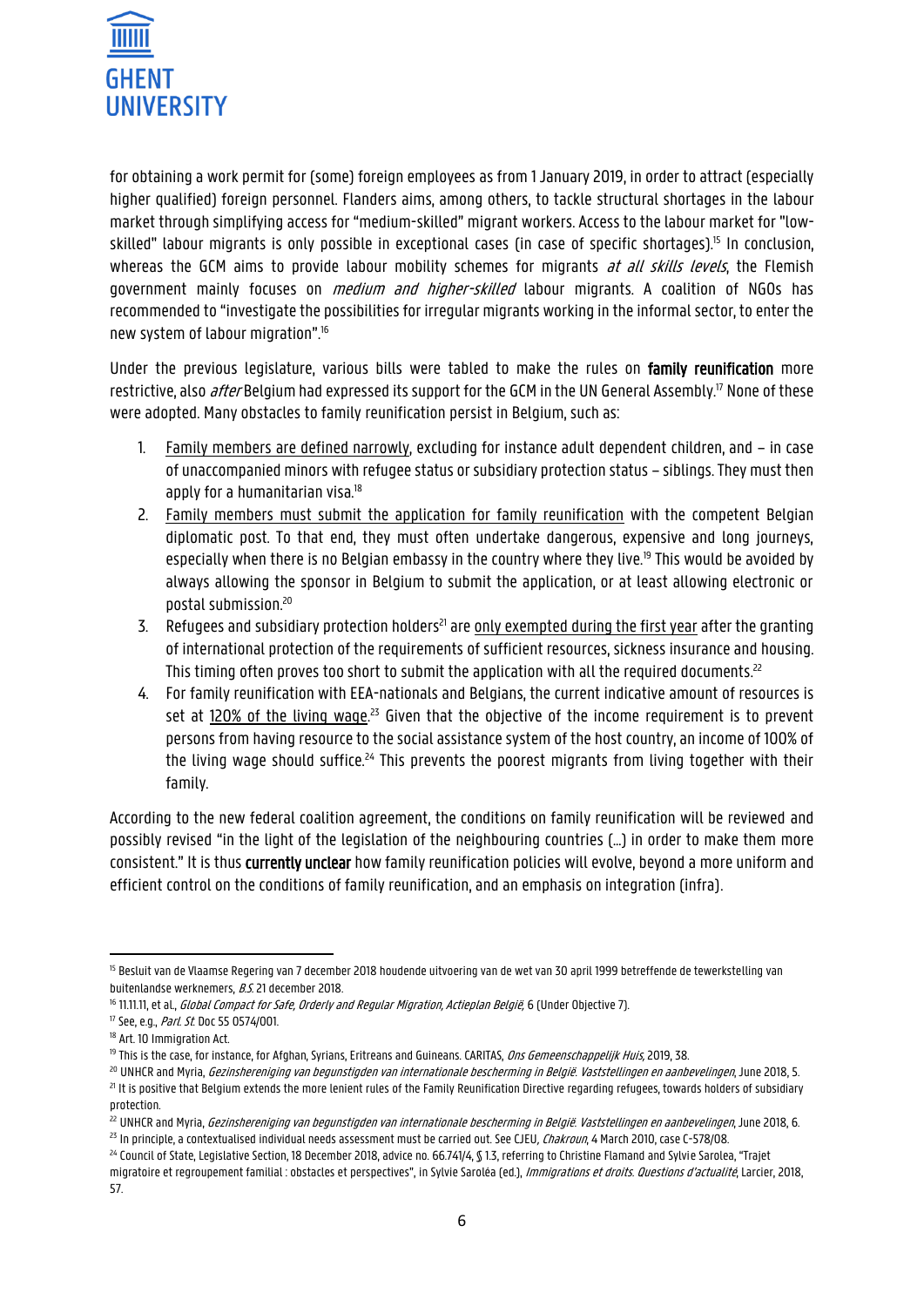

for obtaining a work permit for (some) foreign employees as from 1 January 2019, in order to attract (especially higher qualified) foreign personnel. Flanders aims, among others, to tackle structural shortages in the labour market through simplifying access for "medium-skilled" migrant workers. Access to the labour market for "lowskilled" labour migrants is only possible in exceptional cases (in case of specific shortages).<sup>15</sup> In conclusion, whereas the GCM aims to provide labour mobility schemes for migrants at all skills levels, the Flemish government mainly focuses on *medium and higher-skilled* labour migrants. A coalition of NGOs has recommended to "investigate the possibilities for irregular migrants working in the informal sector, to enter the new system of labour migration".<sup>16</sup>

Under the previous legislature, various bills were tabled to make the rules on family reunification more restrictive, also *after* Belgium had expressed its support for the GCM in the UN General Assembly.<sup>17</sup> None of these were adopted. Many obstacles to family reunification persist in Belgium, such as:

- 1. Family members are defined narrowly, excluding for instance adult dependent children, and in case of unaccompanied minors with refugee status or subsidiary protection status – siblings. They must then apply for a humanitarian visa.<sup>18</sup>
- 2. Family members must submit the application for family reunification with the competent Belgian diplomatic post. To that end, they must often undertake dangerous, expensive and long journeys, especially when there is no Belgian embassy in the country where they live.<sup>19</sup> This would be avoided by always allowing the sponsor in Belgium to submit the application, or at least allowing electronic or postal submission.<sup>20</sup>
- 3. Refugees and subsidiary protection holders<sup>21</sup> are only exempted during the first year after the granting of international protection of the requirements of sufficient resources, sickness insurance and housing. This timing often proves too short to submit the application with all the required documents. $^{\rm 22}$
- 4. For family reunification with EEA-nationals and Belgians, the current indicative amount of resources is set at 120% of the living wage.<sup>23</sup> Given that the objective of the income requirement is to prevent persons from having resource to the social assistance system of the host country, an income of 100% of the living wage should suffice.<sup>24</sup> This prevents the poorest migrants from living together with their family.

According to the new federal coalition agreement, the conditions on family reunification will be reviewed and possibly revised "in the light of the legislation of the neighbouring countries (…) in order to make them more consistent." It is thus currently unclear how family reunification policies will evolve, beyond a more uniform and efficient control on the conditions of family reunification, and an emphasis on integration (infra).

 $\overline{a}$ 

<sup>&</sup>lt;sup>15</sup> Besluit van de Vlaamse Regering van 7 december 2018 houdende uitvoering van de wet van 30 april 1999 betreffende de tewerkstelling van buitenlandse werknemers, B.S. 21 december 2018.

<sup>&</sup>lt;sup>16</sup> 11.11.11, et al., *Global Compact for Safe, Orderly and Regular Migration, Actieplan België*, 6 (Under Objective 7).

<sup>&</sup>lt;sup>17</sup> See, e.g., *Parl. St*. Doc 55 0574/001.

<sup>&</sup>lt;sup>18</sup> Art. 10 Immigration Act.

<sup>&</sup>lt;sup>19</sup> This is the case, for instance, for Afghan, Syrians, Eritreans and Guineans. CARITAS, *Ons Gemeenschappelijk Huis*, 2019, 38.

<sup>&</sup>lt;sup>20</sup> UNHCR and Myria, *Gezinshereniging van begunstigden van internationale bescherming in België. Vaststellingen en aanbevelingen, June 2018, 5.* <sup>21</sup> It is positive that Belgium extends the more lenient rules of the Family Reunification Directive regarding refugees, towards holders of subsidiary protection.

<sup>&</sup>lt;sup>22</sup> UNHCR and Myria, *Gezinshereniging van begunstigden van internationale bescherming in België. Vaststellingen en aanbevelingen, June 2018, 6.*  $^{23}$  In principle, a contextualised individual needs assessment must be carried out. See CJEU, Chakroun, 4 March 2010, case C-578/08.

<sup>&</sup>lt;sup>24</sup> Council of State, Legislative Section, 18 December 2018, advice no. 66.741/4, \$1.3, referring to Christine Flamand and Sylvie Sarolea, "Trajet migratoire et regroupement familial : obstacles et perspectives", in Sylvie Saroléa (ed.), *Immigrations et droits. Questions d'actualité*, Larcier, 2018, 57.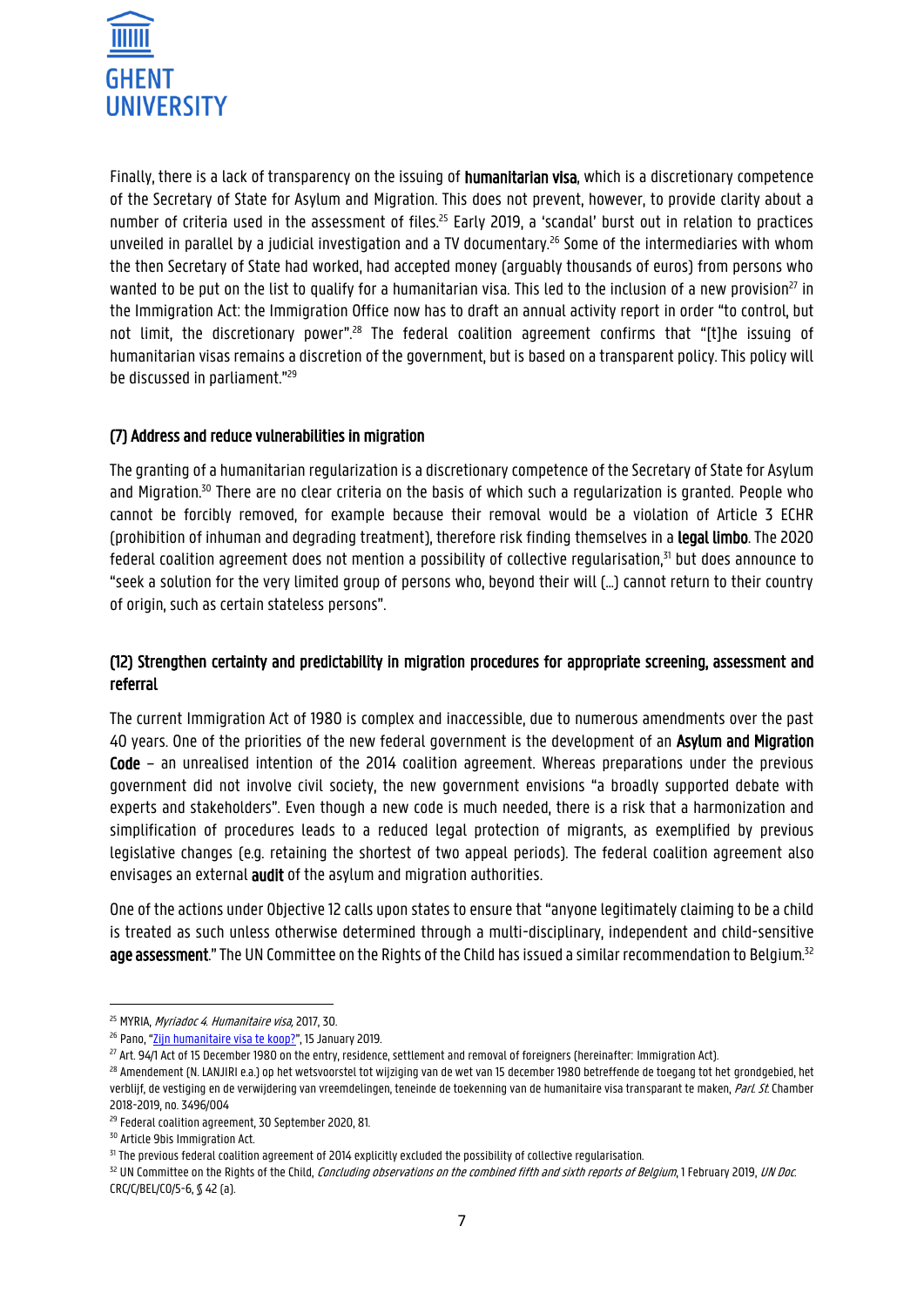

Finally, there is a lack of transparency on the issuing of humanitarian visa, which is a discretionary competence of the Secretary of State for Asylum and Migration. This does not prevent, however, to provide clarity about a number of criteria used in the assessment of files.<sup>25</sup> Early 2019, a 'scandal' burst out in relation to practices unveiled in parallel by a judicial investigation and a TV documentary.<sup>26</sup> Some of the intermediaries with whom the then Secretary of State had worked, had accepted money (arguably thousands of euros) from persons who wanted to be put on the list to qualify for a humanitarian visa. This led to the inclusion of a new provision<sup>27</sup> in the Immigration Act: the Immigration Office now has to draft an annual activity report in order "to control, but not limit, the discretionary power".<sup>28</sup> The federal coalition agreement confirms that "[t]he issuing of humanitarian visas remains a discretion of the government, but is based on a transparent policy. This policy will be discussed in parliament."<sup>29</sup>

## (7) Address and reduce vulnerabilities in migration

The granting of a humanitarian regularization is a discretionary competence of the Secretary of State for Asylum and Migration.<sup>30</sup> There are no clear criteria on the basis of which such a regularization is granted. People who cannot be forcibly removed, for example because their removal would be a violation of Article 3 ECHR (prohibition of inhuman and degrading treatment), therefore risk finding themselves in a legal limbo. The 2020 federal coalition agreement does not mention a possibility of collective regularisation.<sup>31</sup> but does announce to "seek a solution for the very limited group of persons who, beyond their will (…) cannot return to their country of origin, such as certain stateless persons".

# (12) Strengthen certainty and predictability in migration procedures for appropriate screening, assessment and referral

The current Immigration Act of 1980 is complex and inaccessible, due to numerous amendments over the past 40 years. One of the priorities of the new federal government is the development of an Asylum and Migration Code – an unrealised intention of the 2014 coalition agreement. Whereas preparations under the previous government did not involve civil society, the new government envisions "a broadly supported debate with experts and stakeholders". Even though a new code is much needed, there is a risk that a harmonization and simplification of procedures leads to a reduced legal protection of migrants, as exemplified by previous legislative changes (e.g. retaining the shortest of two appeal periods). The federal coalition agreement also envisages an external **audit** of the asylum and migration authorities.

One of the actions under Objective 12 calls upon states to ensure that "anyone legitimately claiming to be a child is treated as such unless otherwise determined through a multi-disciplinary, independent and child-sensitive age assessment." The UN Committee on the Rights of the Child has issued a similar recommendation to Belgium.<sup>32</sup>

**.** 

<sup>&</sup>lt;sup>25</sup> MYRIA, *Myriadoc 4. Humanitaire visa*, 2017, 30.

<sup>&</sup>lt;sup>26</sup> Pano, "[Zijn humanitaire visa te koop?](https://www.vrt.be/vrtnws/nl/dossiers/2019/01/pano-zijn-humanitaire-visa-te-koop/)", 15 January 2019.

<sup>&</sup>lt;sup>27</sup> Art. 94/1 Act of 15 December 1980 on the entry, residence, settlement and removal of foreigners (hereinafter: Immigration Act).

<sup>&</sup>lt;sup>28</sup> Amendement (N. LANJIRI e.a.) op het wetsvoorstel tot wijziging van de wet van 15 december 1980 betreffende de toegang tot het grondgebied, het verblijf, de vestiging en de verwijdering van vreemdelingen, teneinde de toekenning van de humanitaire visa transparant te maken, Parl. St. Chamber 2018-2019, no. 3496/004

<sup>29</sup> Federal coalition agreement, 30 September 2020, 81.

<sup>30</sup> Article 9bis Immigration Act.

<sup>31</sup> The previous federal coalition agreement of 2014 explicitly excluded the possibility of collective regularisation.

<sup>32</sup> UN Committee on the Rights of the Child, Concluding observations on the combined fifth and sixth reports of Belgium, 1 February 2019, UN Doc. CRC/C/BEL/CO/5-6, § 42 (a).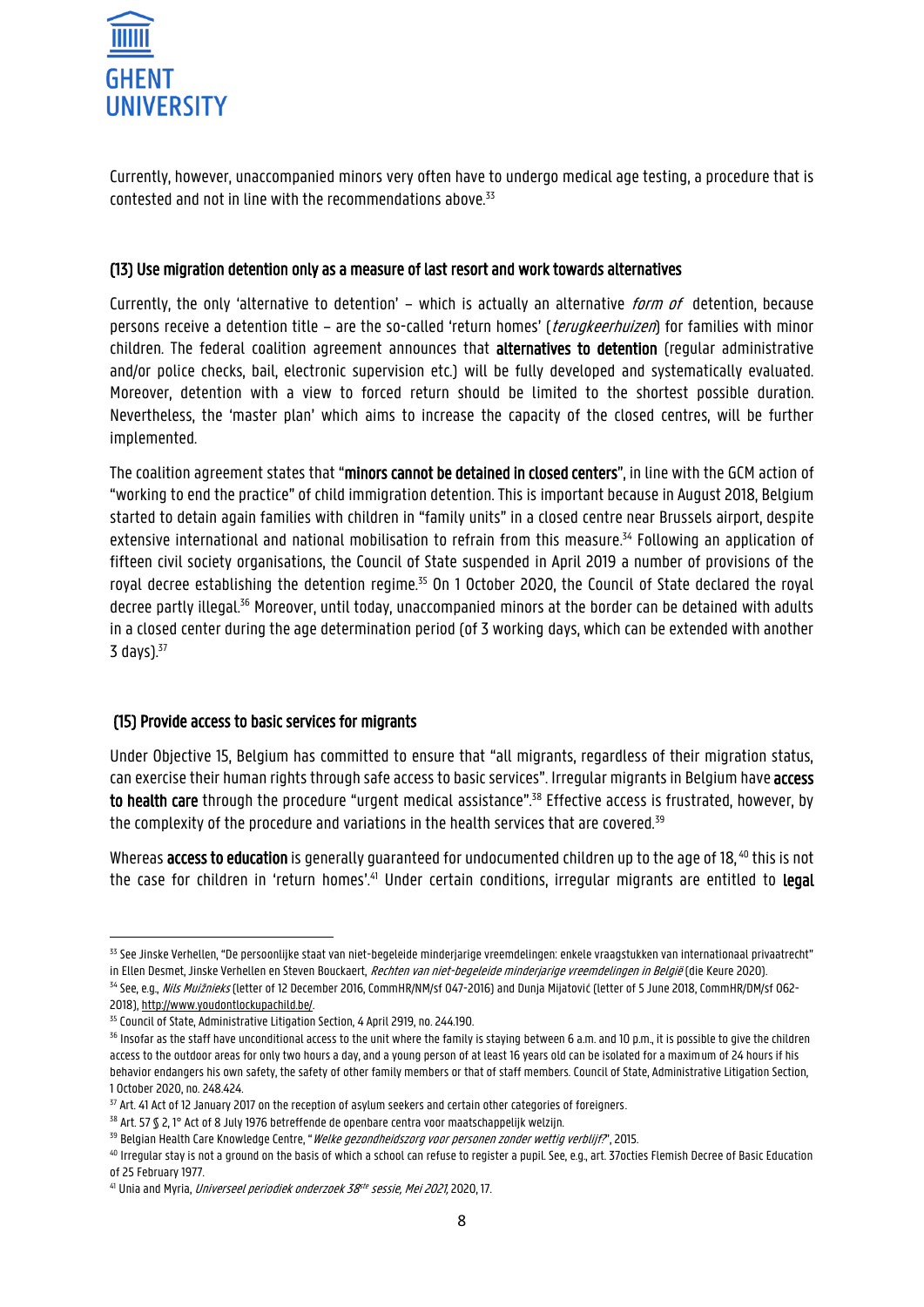

Currently, however, unaccompanied minors very often have to undergo medical age testing, a procedure that is contested and not in line with the recommendations above. $33$ 

#### (13) Use migration detention only as a measure of last resort and work towards alternatives

Currently, the only 'alternative to detention' - which is actually an alternative *form of* detention, because persons receive a detention title – are the so-called 'return homes' (*terugkeerhuizen*) for families with minor children. The federal coalition agreement announces that alternatives to detention (regular administrative and/or police checks, bail, electronic supervision etc.) will be fully developed and systematically evaluated. Moreover, detention with a view to forced return should be limited to the shortest possible duration. Nevertheless, the 'master plan' which aims to increase the capacity of the closed centres, will be further implemented.

The coalition agreement states that "minors cannot be detained in closed centers", in line with the GCM action of "working to end the practice" of child immigration detention. This is important because in August 2018, Belgium started to detain again families with children in "family units" in a closed centre near Brussels airport, despite extensive international and national mobilisation to refrain from this measure. <sup>34</sup> Following an application of fifteen civil society organisations, the Council of State suspended in April 2019 a number of provisions of the royal decree establishing the detention regime.<sup>35</sup> On 1 October 2020, the Council of State declared the royal decree partly illegal.<sup>36</sup> Moreover, until today, unaccompanied minors at the border can be detained with adults in a closed center during the age determination period (of 3 working days, which can be extended with another  $3$  days). $37$ 

#### (15) Provide access to basic services for migrants

Under Objective 15, Belgium has committed to ensure that "all migrants, regardless of their migration status, can exercise their human rights through safe access to basic services". Irregular migrants in Belgium have access to health care through the procedure "urgent medical assistance".<sup>38</sup> Effective access is frustrated, however, by the complexity of the procedure and variations in the health services that are covered.<sup>39</sup>

Whereas access to education is generally guaranteed for undocumented children up to the age of 18.<sup>40</sup> this is not the case for children in 'return homes'.<sup>41</sup> Under certain conditions, irregular migrants are entitled to **legal** 

**<sup>.</sup>** <sup>33</sup> See Jinske Verhellen, "De persoonlijke staat van niet-begeleide minderjarige vreemdelingen: enkele vraagstukken van internationaal privaatrecht" in Ellen Desmet, Jinske Verhellen en Steven Bouckaert, Rechten van niet-begeleide minderjarige vreemdelingen in België (die Keure 2020).

<sup>&</sup>lt;sup>34</sup> See, e.g., *Nils Muižnieks* (letter of 12 December 2016, CommHR/NM/sf 047-2016) and Dunja Mijatović (letter of 5 June 2018, CommHR/DM/sf 062-2018)[, http://www.youdontlockupachild.be/.](http://www.youdontlockupachild.be/)

<sup>&</sup>lt;sup>35</sup> Council of State, Administrative Litigation Section, 4 April 2919, no. 244.190.

<sup>&</sup>lt;sup>36</sup> Insofar as the staff have unconditional access to the unit where the family is staying between 6 a.m. and 10 p.m., it is possible to give the children access to the outdoor areas for only two hours a day, and a young person of at least 16 years old can be isolated for a maximum of 24 hours if his behavior endangers his own safety, the safety of other family members or that of staff members. Council of State, Administrative Litigation Section, 1 October 2020, no. 248.424.

<sup>37</sup> Art. 41 Act of 12 January 2017 on the reception of asylum seekers and certain other categories of foreigners.

<sup>38</sup> Art. 57 § 2, 1° Act of 8 July 1976 betreffende de openbare centra voor maatschappelijk welzijn.

<sup>&</sup>lt;sup>39</sup> Belgian Health Care Knowledge Centre, "*Welke gezondheidszorg voor personen zonder wettig verblijf?*", 2015.

<sup>40</sup> Irregular stay is not a ground on the basis of which a school can refuse to register a pupil. See, e.g., art. 37octies Flemish Decree of Basic Education of 25 February 1977.

<sup>&</sup>lt;sup>41</sup> Unia and Myria, *Universeel periodiek onderzoek 38<sup>ste</sup> sessie, Mei 2021*, 2020, 17.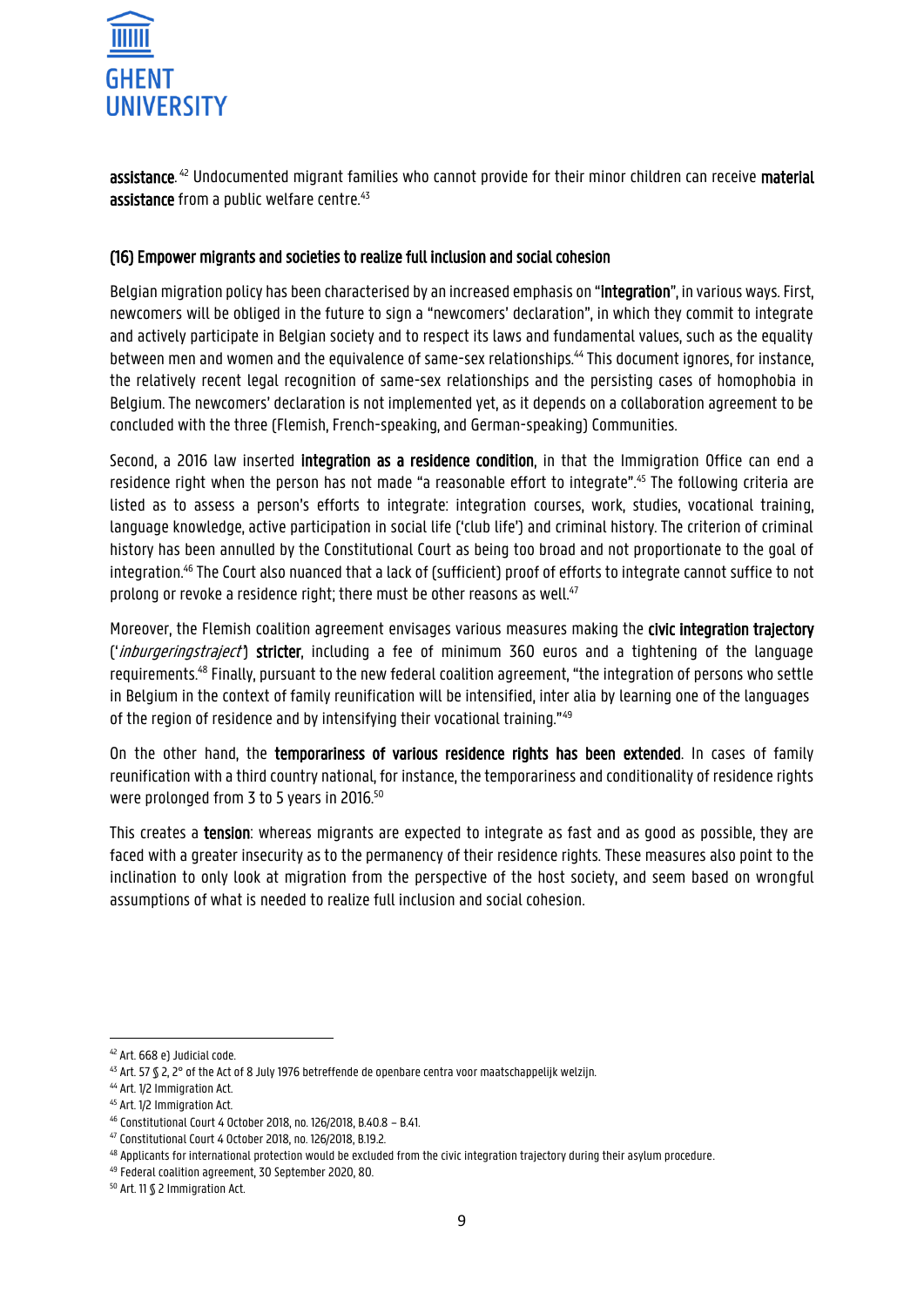

**assistance**. <sup>42</sup> Undocumented migrant families who cannot provide for their minor children can receive **material** assistance from a public welfare centre.<sup>43</sup>

#### (16) Empower migrants and societies to realize full inclusion and social cohesion

Belgian migration policy has been characterised by an increased emphasis on "integration", in various ways. First, newcomers will be obliged in the future to sign a "newcomers' declaration", in which they commit to integrate and actively participate in Belgian society and to respect its laws and fundamental values, such as the equality between men and women and the equivalence of same-sex relationships.<sup>44</sup> This document ignores, for instance, the relatively recent legal recognition of same-sex relationships and the persisting cases of homophobia in Belgium. The newcomers' declaration is not implemented yet, as it depends on a collaboration agreement to be concluded with the three (Flemish, French-speaking, and German-speaking) Communities.

Second, a 2016 law inserted **integration as a residence condition**, in that the Immigration Office can end a residence right when the person has not made "a reasonable effort to integrate".<sup>45</sup> The following criteria are listed as to assess a person's efforts to integrate: integration courses, work, studies, vocational training, language knowledge, active participation in social life ('club life') and criminal history. The criterion of criminal history has been annulled by the Constitutional Court as being too broad and not proportionate to the goal of integration.<sup>46</sup> The Court also nuanced that a lack of (sufficient) proof of efforts to integrate cannot suffice to not prolong or revoke a residence right; there must be other reasons as well.<sup>47</sup>

Moreover, the Flemish coalition agreement envisages various measures making the civic integration trajectory ('*inburgeringstraject*') stricter, including a fee of minimum 360 euros and a tightening of the language requirements.<sup>48</sup> Finally, pursuant to the new federal coalition agreement, "the integration of persons who settle in Belgium in the context of family reunification will be intensified, inter alia by learning one of the languages of the region of residence and by intensifying their vocational training."<sup>49</sup>

On the other hand, the temporariness of various residence rights has been extended. In cases of family reunification with a third country national, for instance, the temporariness and conditionality of residence rights were prolonged from 3 to 5 years in 2016.<sup>50</sup>

This creates a tension: whereas migrants are expected to integrate as fast and as good as possible, they are faced with a greater insecurity as to the permanency of their residence rights. These measures also point to the inclination to only look at migration from the perspective of the host society, and seem based on wrongful assumptions of what is needed to realize full inclusion and social cohesion.

**.** 

<sup>42</sup> Art. 668 e) Judicial code.

<sup>43</sup> Art. 57 § 2, 2° of the Act of 8 July 1976 betreffende de openbare centra voor maatschappelijk welzijn.

<sup>44</sup> Art. 1/2 Immigration Act.

<sup>45</sup> Art. 1/2 Immigration Act.

<sup>46</sup> Constitutional Court 4 October 2018, no. 126/2018, B.40.8 – B.41.

<sup>47</sup> Constitutional Court 4 October 2018, no. 126/2018, B.19.2.

<sup>48</sup> Applicants for international protection would be excluded from the civic integration trajectory during their asylum procedure.

<sup>49</sup> Federal coalition agreement, 30 September 2020, 80.

<sup>50</sup> Art. 11 § 2 Immigration Act.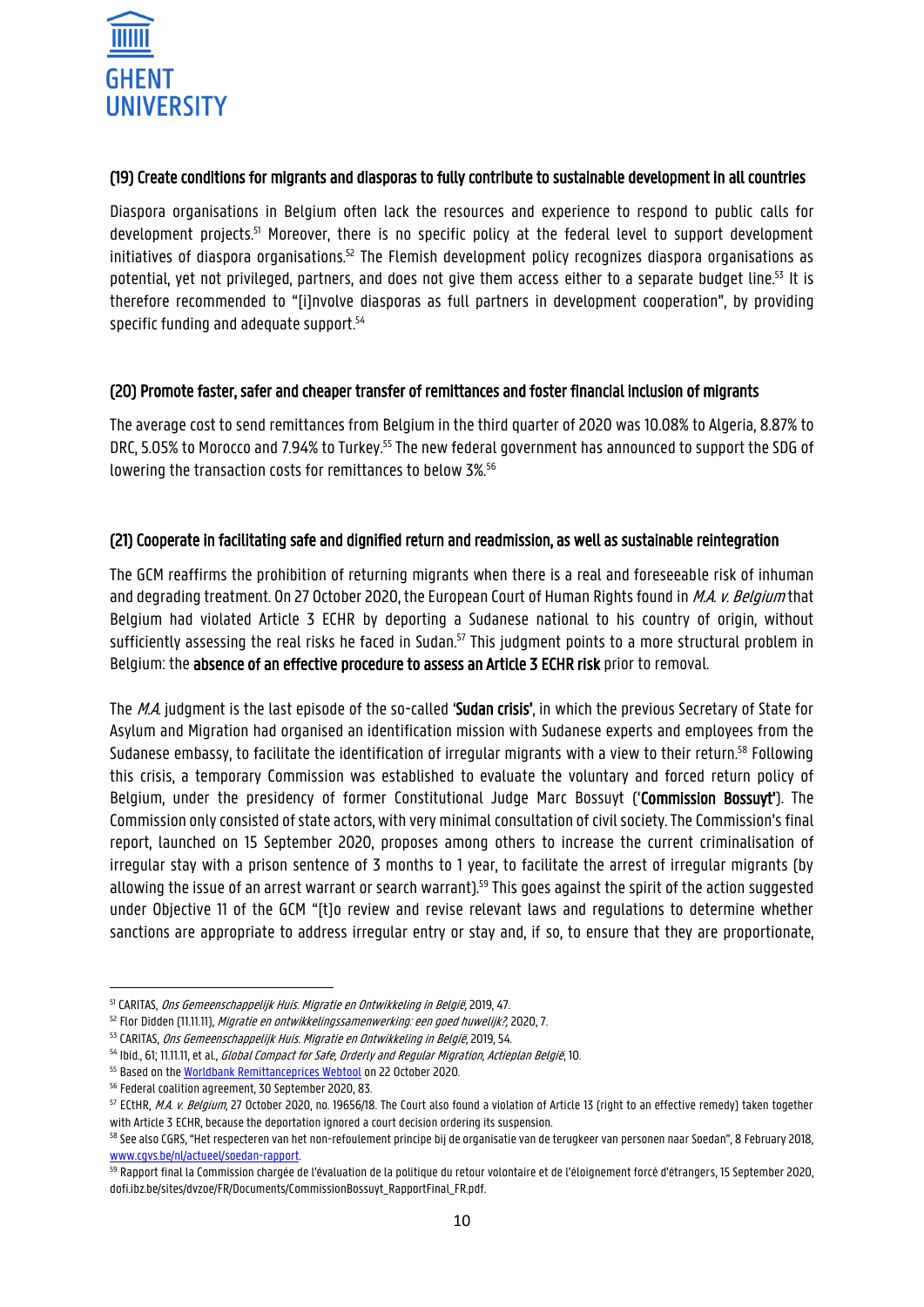

#### (19) Create conditions for migrants and diasporas to fully contribute to sustainable development in all countries

Diaspora organisations in Belgium often lack the resources and experience to respond to public calls for development projects. <sup>51</sup> Moreover, there is no specific policy at the federal level to support development initiatives of diaspora organisations.<sup>52</sup> The Flemish development policy recognizes diaspora organisations as potential, yet not privileged, partners, and does not give them access either to a separate budget line.<sup>53</sup> It is therefore recommended to "[i]nvolve diasporas as full partners in development cooperation", by providing specific funding and adequate support. 54

#### (20) Promote faster, safer and cheaper transfer of remittances and foster financial inclusion of migrants

The average cost to send remittances from Belgium in the third quarter of 2020 was 10.08% to Algeria, 8.87% to DRC, 5.05% to Morocco and 7.94% to Turkey.<sup>55</sup> The new federal government has announced to support the SDG of lowering the transaction costs for remittances to below 3%.<sup>56</sup>

## (21) Cooperate in facilitating safe and dignified return and readmission, as well as sustainable reintegration

The GCM reaffirms the prohibition of returning migrants when there is a real and foreseeable risk of inhuman and degrading treatment. On 27 October 2020, the European Court of Human Rights found in M.A. v. Belgium that Belgium had violated Article 3 ECHR by deporting a Sudanese national to his country of origin, without sufficiently assessing the real risks he faced in Sudan.<sup>57</sup> This judgment points to a more structural problem in Belgium: the absence of an effective procedure to assess an Article 3 ECHR risk prior to removal.

The M.A. judgment is the last episode of the so-called 'Sudan crisis', in which the previous Secretary of State for Asylum and Migration had organised an identification mission with Sudanese experts and employees from the Sudanese embassy, to facilitate the identification of irregular migrants with a view to their return. <sup>58</sup> Following this crisis, a temporary Commission was established to evaluate the voluntary and forced return policy of Belgium, under the presidency of former Constitutional Judge Marc Bossuyt ('Commission Bossuyt'). The Commission only consisted of state actors, with very minimal consultation of civil society. The Commission's final report, launched on 15 September 2020, proposes among others to increase the current criminalisation of irregular stay with a prison sentence of 3 months to 1 year, to facilitate the arrest of irregular migrants (by allowing the issue of an arrest warrant or search warrant).<sup>59</sup> This goes against the spirit of the action suggested under Objective 11 of the GCM "[t]o review and revise relevant laws and regulations to determine whether sanctions are appropriate to address irregular entry or stay and, if so, to ensure that they are proportionate,

**<sup>.</sup>** <sup>51</sup> CARITAS, Ons Gemeenschappelijk Huis. Migratie en Ontwikkeling in België, 2019, 47.

<sup>&</sup>lt;sup>52</sup> Flor Didden (11.11.11), *Migratie en ontwikkelingssamenwerking: een goed huwelijk?*, 2020, 7.

<sup>53</sup> CARITAS, Ons Gemeenschappelijk Huis. Migratie en Ontwikkeling in België, 2019, 54.

<sup>54</sup> Ibid., 61; 11.11.11, et al., *Global Compact for Safe, Orderly and Regular Migration, Actieplan België*, 10.

<sup>&</sup>lt;sup>55</sup> Based on th[e Worldbank Remittanceprices Webtool](https://remittanceprices.worldbank.org/en) on 22 October 2020.

<sup>56</sup> Federal coalition agreement, 30 September 2020, 83.

<sup>&</sup>lt;sup>57</sup> ECtHR, M.A. v. Belgium, 27 October 2020, no. 19656/18. The Court also found a violation of Article 13 (right to an effective remedy) taken together with Article 3 ECHR, because the deportation ignored a court decision ordering its suspension.

<sup>58</sup> See also CGRS, "Het respecteren van het non-refoulement principe bij de organisatie van de terugkeer van personen naar Soedan", 8 February 2018, [www.cgvs.be/nl/actueel/soedan-rapport.](https://www.cgvs.be/nl/actueel/soedan-rapport)

<sup>&</sup>lt;sup>59</sup> Rapport final la Commission chargée de l'évaluation de la politique du retour volontaire et de l'éloignement forcé d'étrangers, 15 September 2020, dofi.ibz.be/sites/dvzoe/FR/Documents/CommissionBossuyt\_RapportFinal\_FR.pdf.